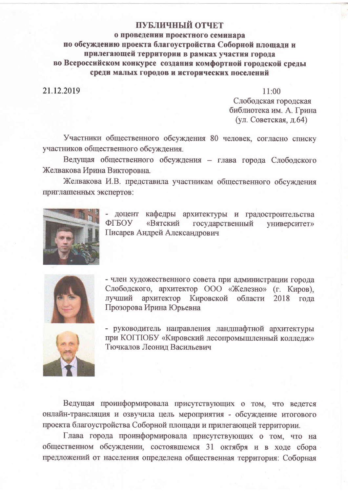## ПУБЛИЧНЫЙ ОТЧЕТ

## о проведении проектного семинара по обсуждению проекта благоустройства Соборной площади и прилегающей территории в рамках участия города во Всероссийском конкурсе создания комфортной городской среды среди малых городов и исторических поселений

21.12.2019

 $11:00$ Слободская городская

библиотека им. А. Грина (ул. Советская, д.64)

Участники общественного обсуждения 80 человек, согласно списку участников общественного обсуждения.

Ведущая общественного обсуждения - глава города Слободского Желвакова Ирина Викторовна.

Желвакова И.В. представила участникам общественного обсуждения приглашенных экспертов:



доцент кафедры архитектуры и градостроительства **ФГБОУ** «Вятский государственный **VHMBepcMTeT>>** Писарев Андрей Александрович



- член художественного совета при администрации города Слободского, архитектор ООО «Железно» (г. Киров), архитектор Кировской области лучший 2018 гола Прозорова Ирина Юрьевна



- руководитель направления ландшафтной архитектуры при КОГПОБУ «Кировский лесопромышленный колледж» Тючкалов Леонид Васильевич

Ведущая проинформировала присутствующих о том, что ведется онлайн-трансляция и озвучила цель мероприятия - обсуждение итогового проекта благоустройства Соборной площади и прилегающей территории.

Глава города проинформировала присутствующих о том, что на общественном обсуждении, состоявшемся 31 октября и в ходе сбора предложений от населения определена общественная территория: Соборная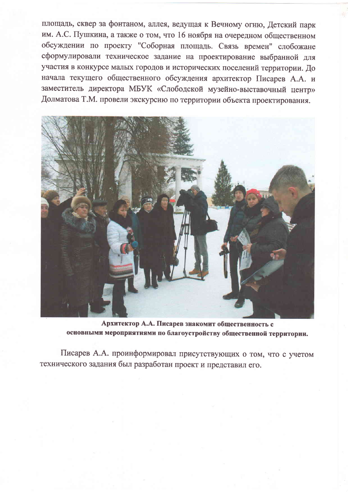площадь, сквер за фонтаном, аллея, ведущая к Вечному огню, Детский парк им. А.С. Пушкина, а также о том, что 16 ноября на очередном общественном обсуждении по проекту "Соборная площадь. Связь времен" слобожане сформулировали техническое задание на проектирование выбранной для участия в конкурсе малых городов и исторических поселений территории. До начала текущего общественного обсуждения архитектор Писарев А.А. и заместитель директора МБУК «Слободской музейно-выставочный центр» Долматова Т.М. провели экскурсию по территории объекта проектирования.



Архитектор А.А. Писарев знакомит общественность с основными мероприятиями по благоустройству общественной территории.

Писарев А.А. проинформировал присутствующих о том, что с учетом технического задания был разработан проект и представил его.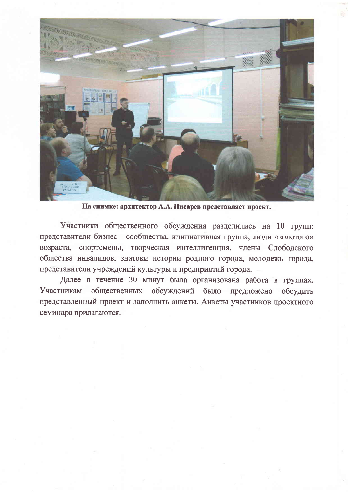

На снимке: архитектор А.А. Писарев представляет проект.

Участники общественного обсуждения разделились на 10 групп: представители бизнес - сообщества, инициативная группа, люди «золотого» возраста, спортсмены, творческая интеллигенция, члены Слободского общества инвалидов, знатоки истории родного города, молодежь города, представители учреждений культуры и предприятий города.

Далее в течение 30 минут была организована работа в группах. Участникам общественных обсуждений было предложено обсудить представленный проект и заполнить анкеты. Анкеты участников проектного семинара прилагаются.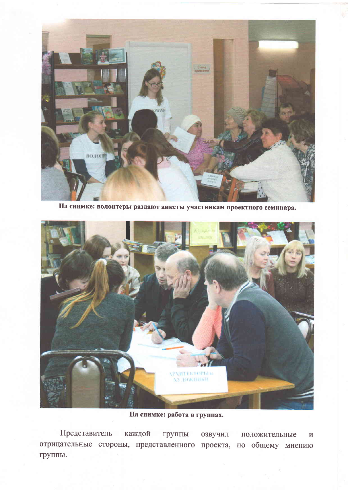

На снимке: волонтеры раздают анкеты участникам проектного семинара.



На снимке: работа в группах.

Представитель каждой группы озвучил положительные  $\mathbf H$ отрицательные стороны, представленного проекта, по общему мнению группы.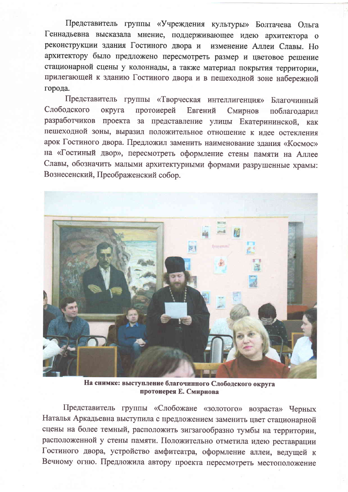Представитель группы «Учреждения культуры» Болтачева Ольга Геннадьевна высказала мнение, поддерживающее идею архитектора о реконструкции здания Гостиного двора и изменение Аллеи Славы. Но архитектору было предложено пересмотреть размер и цветовое решение стационарной сцены у колоннады, а также материал покрытия территории, прилегающей к зданию Гостиного двора и в пешеходной зоне набережной города.

Представитель группы «Творческая интеллигенция» Благочинный Слободского округа протоиерей Евгений поблагодарил Смирнов разработчиков проекта за представление улицы Екатерининской, как пешеходной зоны, выразил положительное отношение к идее остекления арок Гостиного двора. Предложил заменить наименование здания «Космос» на «Гостиный двор», пересмотреть оформление стены памяти на Аллее Славы, обозначить малыми архитектурными формами разрушенные храмы: Вознесенский, Преображенский собор.



На снимке: выступление благочинного Слободского округа протоиерея Е. Смирнова

Представитель группы «Слобожане «золотого» возраста» Черных Наталья Аркадьевна выступила с предложением заменить цвет стационарной сцены на более темный, расположить зигзагообразно тумбы на территории, расположенной у стены памяти. Положительно отметила идею реставрации Гостиного двора, устройство амфитеатра, оформление аллеи, ведущей к Вечному огню. Предложила автору проекта пересмотреть местоположение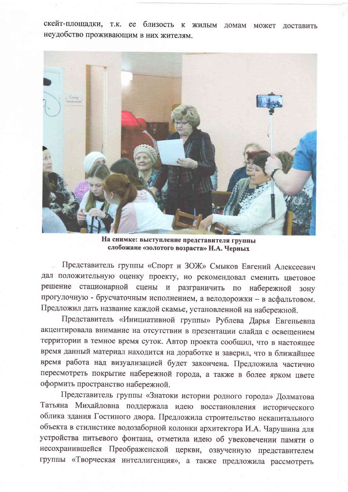скейт-площадки, т.к. ее близость к жилым домам может доставить неудобство проживающим в них жителям.



На снимке: выступление представителя группы слобожане «золотого возраста» Н.А. Черных

Представитель группы «Спорт и ЗОЖ» Смыков Евгений Алексеевич дал положительную оценку проекту, но рекомендовал сменить цветовое решение стационарной сцены и разграничить по набережной зону прогулочную - брусчаточным исполнением, а велодорожки - в асфальтовом. Предложил дать название каждой скамье, установленной на набережной.

Представитель «Инициативной группы» Рублева Дарья Евгеньевна акцентировала внимание на отсутствии в презентации слайда с освещением территории в темное время суток. Автор проекта сообщил, что в настоящее время данный материал находится на доработке и заверил, что в ближайшее время работа над визуализацией будет закончена. Предложила частично пересмотреть покрытие набережной города, а также в более ярком цвете оформить пространство набережной.

Представитель группы «Знатоки истории родного города» Долматова Татьяна Михайловна поддержала идею восстановления исторического облика здания Гостиного двора. Предложила строительство некапитального объекта в стилистике водозаборной колонки архитектора И.А. Чарушина для устройства питьевого фонтана, отметила идею об увековечении памяти о несохранившейся Преображенской церкви, озвученную представителем группы «Творческая интеллигенция», а также предложила рассмотреть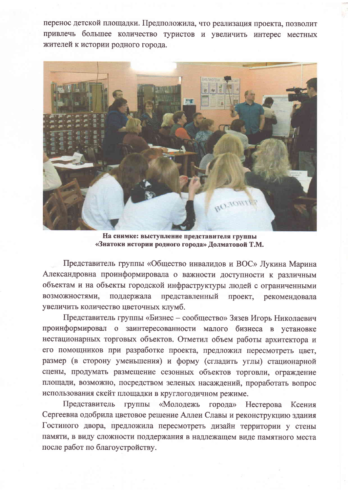перенос детской площадки. Предположила, что реализация проекта, позволит привлечь большее количество туристов и увеличить интерес местных жителей к истории родного города.



На снимке: выступление представителя группы «Знатоки истории родного города» Долматовой Т.М.

Представитель группы «Общество инвалидов и ВОС» Лукина Марина Александровна проинформировала о важности доступности к различным объектам и на объекты городской инфраструктуры людей с ограниченными возможностями, поддержала представленный проект, рекомендовала увеличить количество цветочных клумб.

Представитель группы «Бизнес - сообщество» Зязев Игорь Николаевич проинформировал о заинтересованности малого бизнеса в установке нестационарных торговых объектов. Отметил объем работы архитектора и его помощников при разработке проекта, предложил пересмотреть цвет, размер (в сторону уменьшения) и форму (сгладить углы) стационарной сцены, продумать размещение сезонных объектов торговли, ограждение площади, возможно, посредством зеленых насаждений, проработать вопрос использования скейт площадки в круглогодичном режиме.

Представитель группы «Молодежь города» Нестерова Ксения Сергеевна одобрила цветовое решение Аллеи Славы и реконструкцию здания Гостиного двора, предложила пересмотреть дизайн территории у стены памяти, в виду сложности поддержания в надлежащем виде памятного места после работ по благоустройству.